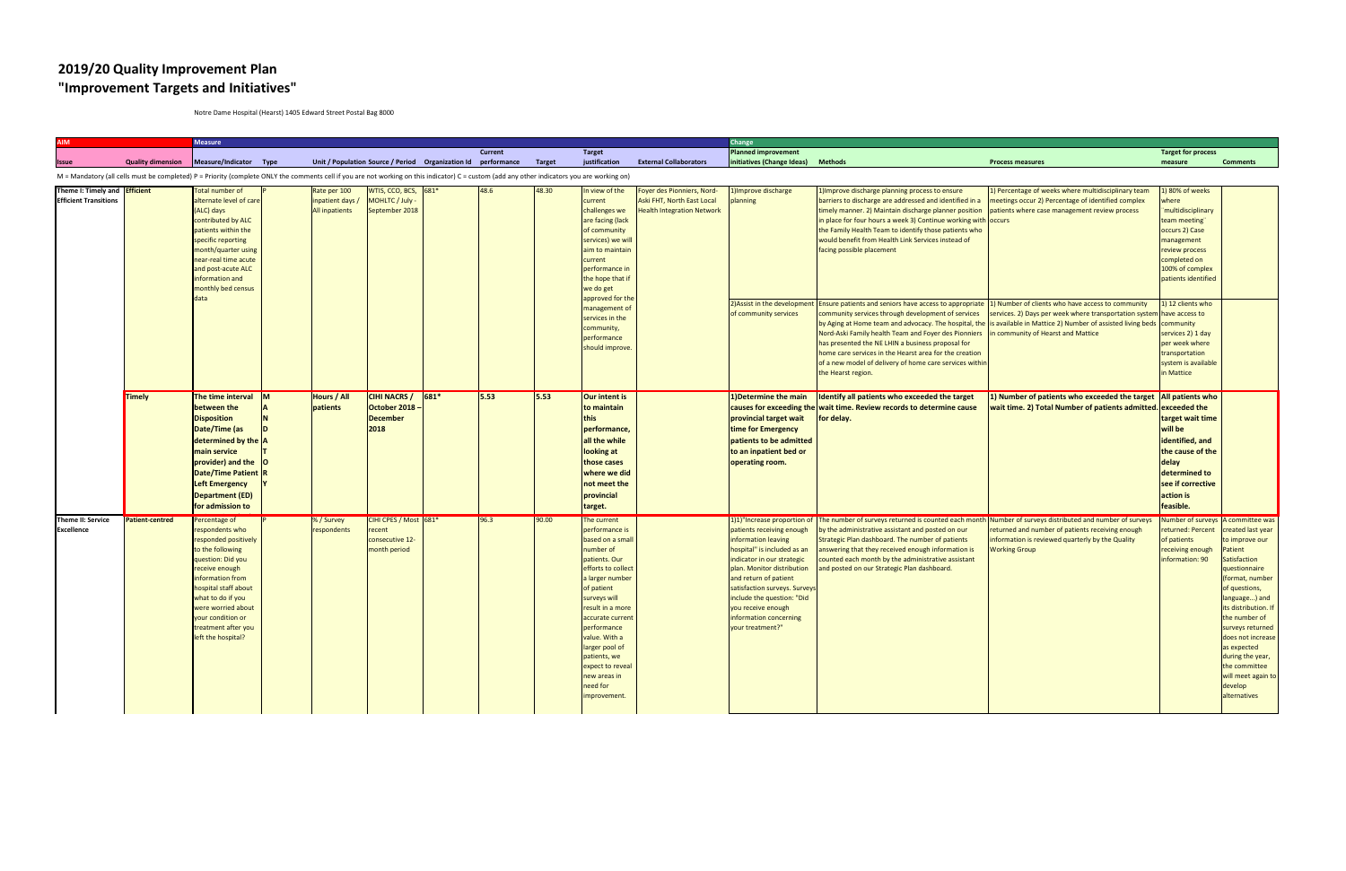## **2019/20 Quality Improvement Plan "Improvement Targets and Initiatives"**

Notre Dame Hospital (Hearst) 1405 Edward Street Postal Bag 8000

| <b>AIM</b>                                                                                                                                                                                   |                        | <b>Measure</b>                                                                                                                                                                                                                                                               |                                                           |                                                                      |                |       |                                                                                                                                                                                                                                                                                                                                  |                                                                                               | Change                                                                                                                                                                                                                                                                                                  |                                                                                                                                                                                                                                                                                                                                                                                                                                                           |                                                                                                                                                                                                    |                                                                                                                                                                                   |                                                                                                                                                                                                                                                                                                                             |
|----------------------------------------------------------------------------------------------------------------------------------------------------------------------------------------------|------------------------|------------------------------------------------------------------------------------------------------------------------------------------------------------------------------------------------------------------------------------------------------------------------------|-----------------------------------------------------------|----------------------------------------------------------------------|----------------|-------|----------------------------------------------------------------------------------------------------------------------------------------------------------------------------------------------------------------------------------------------------------------------------------------------------------------------------------|-----------------------------------------------------------------------------------------------|---------------------------------------------------------------------------------------------------------------------------------------------------------------------------------------------------------------------------------------------------------------------------------------------------------|-----------------------------------------------------------------------------------------------------------------------------------------------------------------------------------------------------------------------------------------------------------------------------------------------------------------------------------------------------------------------------------------------------------------------------------------------------------|----------------------------------------------------------------------------------------------------------------------------------------------------------------------------------------------------|-----------------------------------------------------------------------------------------------------------------------------------------------------------------------------------|-----------------------------------------------------------------------------------------------------------------------------------------------------------------------------------------------------------------------------------------------------------------------------------------------------------------------------|
|                                                                                                                                                                                              |                        |                                                                                                                                                                                                                                                                              |                                                           |                                                                      | <b>Current</b> |       | <b>Target</b>                                                                                                                                                                                                                                                                                                                    |                                                                                               | Planned improvement                                                                                                                                                                                                                                                                                     |                                                                                                                                                                                                                                                                                                                                                                                                                                                           |                                                                                                                                                                                                    | <b>Target for process</b>                                                                                                                                                         |                                                                                                                                                                                                                                                                                                                             |
|                                                                                                                                                                                              |                        | Quality dimension   Measure/Indicator Type                                                                                                                                                                                                                                   |                                                           | Unit / Population Source / Period Organization Id performance Target |                |       | justification                                                                                                                                                                                                                                                                                                                    | <b>External Collaborators</b>                                                                 | initiatives (Change Ideas)                                                                                                                                                                                                                                                                              | <b>Methods</b>                                                                                                                                                                                                                                                                                                                                                                                                                                            | <b>Process measures</b>                                                                                                                                                                            | measure                                                                                                                                                                           | <b>Comments</b>                                                                                                                                                                                                                                                                                                             |
| M = Mandatory (all cells must be completed) P = Priority (complete ONLY the comments cell if you are not working on this indicator) C = custom (add any other indicators you are working on) |                        |                                                                                                                                                                                                                                                                              |                                                           |                                                                      |                |       |                                                                                                                                                                                                                                                                                                                                  |                                                                                               |                                                                                                                                                                                                                                                                                                         |                                                                                                                                                                                                                                                                                                                                                                                                                                                           |                                                                                                                                                                                                    |                                                                                                                                                                                   |                                                                                                                                                                                                                                                                                                                             |
| Theme I: Timely and <b>Efficient</b><br><b>Efficient Transitions</b>                                                                                                                         |                        | <b>Total number of</b><br>alternate level of care<br>(ALC) days<br>contributed by ALC<br>patients within the<br>specific reporting<br>month/quarter using<br>near-real time acute<br>and post-acute ALC<br>information and<br>monthly bed census<br>data                     | Rate per 100<br>inpatient days /<br><b>All inpatients</b> | $WTIS, CCO, BCS, 681*$<br>MOHLTC / July -<br>September 2018          | 48.6           | 48.30 | In view of the<br>current<br>challenges we<br>are facing (lack<br>of community<br>services) we will<br>aim to maintain<br>current<br>performance in<br>the hope that if<br>we do get                                                                                                                                             | Foyer des Pionniers, Nord-<br>Aski FHT, North East Local<br><b>Health Integration Network</b> | 1) Improve discharge<br>planning                                                                                                                                                                                                                                                                        | 1) Improve discharge planning process to ensure<br>barriers to discharge are addressed and identified in a<br>timely manner. 2) Maintain discharge planner position<br>in place for four hours a week 3) Continue working with occurs<br>the Family Health Team to identify those patients who<br>would benefit from Health Link Services instead of<br>facing possible placement                                                                         | 1) Percentage of weeks where multidisciplinary team<br>meetings occur 2) Percentage of identified complex<br>patients where case management review process                                         | 1) 80% of weeks<br>where<br><b>multidisciplinary</b><br>team meeting"<br>occurs 2) Case<br>management<br>review process<br>completed on<br>100% of complex<br>patients identified |                                                                                                                                                                                                                                                                                                                             |
|                                                                                                                                                                                              |                        |                                                                                                                                                                                                                                                                              |                                                           |                                                                      |                |       | approved for the<br>management of<br>services in the<br>community,<br>performance<br>should improve.                                                                                                                                                                                                                             |                                                                                               | 2) Assist in the development<br>of community services                                                                                                                                                                                                                                                   | Ensure patients and seniors have access to appropriate 1) Number of clients who have access to community<br>community services through development of services<br>Nord-Aski Family health Team and Foyer des Pionniers in community of Hearst and Mattice<br>has presented the NE LHIN a business proposal for<br>home care services in the Hearst area for the creation<br>of a new model of delivery of home care services within<br>the Hearst region. | services. 2) Days per week where transportation system have access to<br>by Aging at Home team and advocacy. The hospital, the is available in Mattice 2) Number of assisted living beds community | 1) 12 clients who<br>services 2) 1 day<br>per week where<br>transportation<br>system is available<br>in Mattice                                                                   |                                                                                                                                                                                                                                                                                                                             |
|                                                                                                                                                                                              | <b>Timely</b>          | The time interval $\left  \mathsf{M} \right $<br>between the<br><b>Disposition</b><br>Date/Time (as<br>determined by the $\overline{A}$<br>main service<br>$provider)$ and the $ O$<br>Date/Time Patient R<br><b>Left Emergency</b><br>Department (ED)<br>for admission to   | Hours / All<br>patients                                   | <b>CIHI NACRS</b><br>$ 681*$<br>October 2018 -<br>December<br>2018   | 5.53           | 5.53  | Our intent is<br>to maintain<br>this<br>performance,<br>all the while<br>looking at<br>those cases<br>where we did<br>not meet the<br>provincial<br>target.                                                                                                                                                                      |                                                                                               | 1) Determine the main<br>provincial target wait<br>time for Emergency<br>patients to be admitted<br>to an inpatient bed or<br>operating room.                                                                                                                                                           | Identify all patients who exceeded the target<br>causes for exceeding the wait time. Review records to determine cause<br>for delay.                                                                                                                                                                                                                                                                                                                      | 1) Number of patients who exceeded the target $\vert$ All patients who<br>wait time. 2) Total Number of patients admitted. exceeded the                                                            | target wait time<br>will be<br>identified, and<br>the cause of the<br>delay<br>determined to<br>see if corrective<br>action is<br>feasible.                                       |                                                                                                                                                                                                                                                                                                                             |
| Theme II: Service<br><b>Excellence</b>                                                                                                                                                       | <b>Patient-centred</b> | Percentage of<br>respondents who<br>responded positively<br>to the following<br>question: Did you<br>receive enough<br>information from<br>hospital staff about<br>what to do if you<br>were worried about<br>your condition or<br>treatment after you<br>left the hospital? | % / Survey<br>respondents                                 | CIHI CPES / Most 681*<br>recent<br>consecutive 12-<br>month period   | 96.3           | 90.00 | The current<br>performance is<br>based on a small<br>number of<br>patients. Our<br>efforts to collect<br>a larger number<br>of patient<br>surveys will<br>result in a more<br>accurate current<br>performance<br>value. With a<br>larger pool of<br>patients, we<br>expect to reveal<br>new areas in<br>need for<br>improvement. |                                                                                               | patients receiving enough<br>information leaving<br>hospital" is included as an<br>indicator in our strategic<br>plan. Monitor distribution<br>and return of patient<br>satisfaction surveys. Surveys<br>include the question: "Did<br>you receive enough<br>information concerning<br>your treatment?" | 1)1)"Increase proportion of The number of surveys returned is counted each month Number of surveys distributed and number of surveys<br>by the administrative assistant and posted on our<br>Strategic Plan dashboard. The number of patients<br>answering that they received enough information is<br>counted each month by the administrative assistant<br>and posted on our Strategic Plan dashboard.                                                  | returned and number of patients receiving enough<br>information is reviewed quarterly by the Quality<br><b>Working Group</b>                                                                       | Number of surveys A committee was<br>returned: Percent<br>of patients<br>receiving enough<br>information: 90                                                                      | created last year<br>to improve our<br>Patient<br>Satisfaction<br>questionnaire<br>(format, number<br>of questions,<br>language) and<br>its distribution. If<br>the number of<br>surveys returned<br>does not increase<br>as expected<br>during the year,<br>the committee<br>will meet again to<br>develop<br>alternatives |